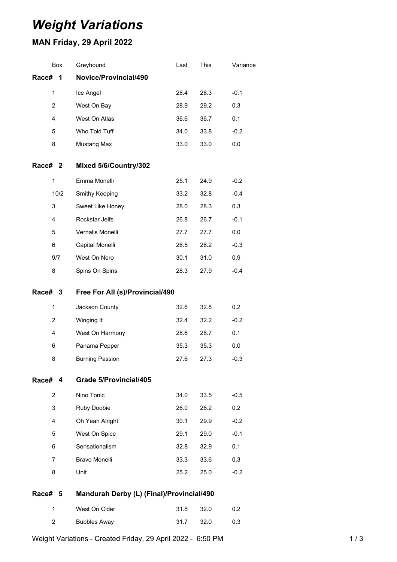# *Weight Variations*

## **MAN Friday, 29 April 2022**

|                    | Box            | Greyhound                                 | Last | This | Variance |
|--------------------|----------------|-------------------------------------------|------|------|----------|
| Race#              | 1              | Novice/Provincial/490                     |      |      |          |
|                    | $\mathbf{1}$   | Ice Angel                                 | 28.4 | 28.3 | $-0.1$   |
|                    | $\overline{2}$ | West On Bay                               | 28.9 | 29.2 | 0.3      |
|                    | 4              | West On Atlas                             | 36.6 | 36.7 | 0.1      |
|                    | 5              | Who Told Tuff                             | 34.0 | 33.8 | $-0.2$   |
|                    | 8              | Mustang Max                               | 33.0 | 33.0 | 0.0      |
| Race# <sub>2</sub> |                | Mixed 5/6/Country/302                     |      |      |          |
|                    | 1              | Emma Monelli                              | 25.1 | 24.9 | $-0.2$   |
|                    | 10/2           | Smithy Keeping                            | 33.2 | 32.8 | $-0.4$   |
|                    | 3              | Sweet Like Honey                          | 28.0 | 28.3 | 0.3      |
|                    | 4              | Rockstar Jelfs                            | 26.8 | 26.7 | $-0.1$   |
|                    | 5              | Vernalis Monelli                          | 27.7 | 27.7 | 0.0      |
|                    | 6              | Capital Monelli                           | 26.5 | 26.2 | $-0.3$   |
|                    | 9/7            | West On Nero                              | 30.1 | 31.0 | 0.9      |
|                    | 8              | Spins On Spins                            | 28.3 | 27.9 | $-0.4$   |
| Race# 3            |                | Free For All (s)/Provincial/490           |      |      |          |
|                    | 1              | Jackson County                            | 32.6 | 32.8 | 0.2      |
|                    | 2              | Winging It                                | 32.4 | 32.2 | $-0.2$   |
|                    | 4              | West On Harmony                           | 28.6 | 28.7 | 0.1      |
|                    | 6              | Panama Pepper                             | 35.3 | 35.3 | 0.0      |
|                    | 8              | <b>Burning Passion</b>                    | 27.6 | 27.3 | $-0.3$   |
| <b>Race#</b>       | 4              | Grade 5/Provincial/405                    |      |      |          |
|                    | 2              | Nino Tonic                                | 34.0 | 33.5 | $-0.5$   |
|                    | 3              | Ruby Doobie                               | 26.0 | 26.2 | 0.2      |
|                    | 4              | Oh Yeah Alright                           | 30.1 | 29.9 | $-0.2$   |
|                    | 5              | West On Spice                             | 29.1 | 29.0 | $-0.1$   |
|                    | 6              | Sensationalism                            | 32.8 | 32.9 | 0.1      |
|                    | 7              | Bravo Monelli                             | 33.3 | 33.6 | 0.3      |
|                    | 8              | Unit                                      | 25.2 | 25.0 | $-0.2$   |
| Race#              | 5              | Mandurah Derby (L) (Final)/Provincial/490 |      |      |          |
|                    | $\mathbf{1}$   | West On Cider                             | 31.8 | 32.0 | 0.2      |
|                    | 2              | <b>Bubbles Away</b>                       | 31.7 | 32.0 | 0.3      |
|                    |                |                                           |      |      |          |

Weight Variations - Created Friday, 29 April 2022 - 6:50 PM 1 / 3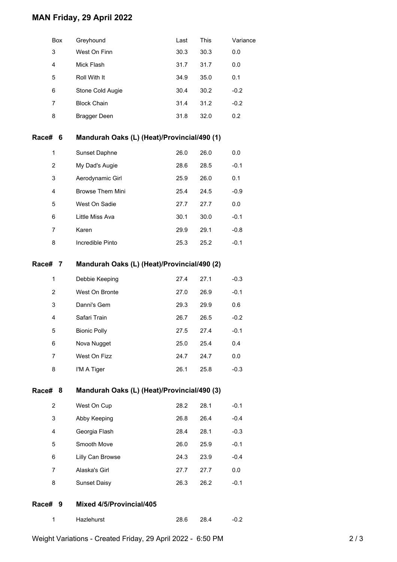## **MAN Friday, 29 April 2022**

| West On Finn<br>3<br>30.3<br>30.3<br>0.0<br>4<br>Mick Flash<br>31.7<br>0.0<br>31.7<br>5<br>Roll With It<br>35.0<br>0.1<br>34.9<br>6<br>Stone Cold Augie<br>30.4<br>30.2<br>$-0.2$<br><b>Block Chain</b><br>31.4<br>31.2<br>$-0.2$<br>7<br>8<br>31.8<br>32.0<br>0.2<br><b>Bragger Deen</b><br>Mandurah Oaks (L) (Heat)/Provincial/490 (1)<br>Race#<br>6<br>Sunset Daphne<br>$\mathbf{1}$<br>26.0<br>26.0<br>0.0<br>2<br>My Dad's Augie<br>28.5<br>$-0.1$<br>28.6<br>3<br>Aerodynamic Girl<br>25.9<br>26.0<br>0.1<br>4<br>Browse Them Mini<br>25.4<br>24.5<br>$-0.9$<br>West On Sadie<br>27.7<br>0.0<br>5<br>27.7<br>Little Miss Ava<br>30.1<br>30.0<br>$-0.1$<br>6<br>Karen<br>29.1<br>$-0.8$<br>7<br>29.9<br>8<br>Incredible Pinto<br>25.3<br>25.2<br>$-0.1$<br>Mandurah Oaks (L) (Heat)/Provincial/490 (2)<br>Race# 7<br>1<br>Debbie Keeping<br>27.4<br>27.1<br>$-0.3$<br>$\overline{2}$<br>West On Bronte<br>26.9<br>$-0.1$<br>27.0<br>3<br>Danni's Gem<br>29.9<br>29.3<br>0.6<br>Safari Train<br>4<br>26.7<br>26.5<br>$-0.2$<br>27.5<br>27.4<br>$-0.1$<br>5<br><b>Bionic Polly</b><br>6<br>25.0<br>25.4<br>Nova Nugget<br>0.4<br>West On Fizz<br>24.7<br>24.7<br>0.0<br>7<br>8<br>I'M A Tiger<br>26.1<br>25.8<br>$-0.3$<br>Mandurah Oaks (L) (Heat)/Provincial/490 (3)<br>Race# 8<br>West On Cup<br>$\overline{2}$<br>28.2<br>28.1<br>$-0.1$<br>3<br>Abby Keeping<br>26.8<br>26.4<br>$-0.4$<br>4<br>Georgia Flash<br>28.4<br>28.1<br>$-0.3$<br>Smooth Move<br>26.0<br>$-0.1$<br>5<br>25.9<br>Lilly Can Browse<br>6<br>24.3<br>23.9<br>$-0.4$<br>Alaska's Girl<br>0.0<br>7<br>27.7<br>27.7<br>8<br><b>Sunset Daisy</b><br>26.3<br>26.2<br>$-0.1$<br>Mixed 4/5/Provincial/405<br>Race#<br>9 | Box | Greyhound | Last | This | Variance |
|----------------------------------------------------------------------------------------------------------------------------------------------------------------------------------------------------------------------------------------------------------------------------------------------------------------------------------------------------------------------------------------------------------------------------------------------------------------------------------------------------------------------------------------------------------------------------------------------------------------------------------------------------------------------------------------------------------------------------------------------------------------------------------------------------------------------------------------------------------------------------------------------------------------------------------------------------------------------------------------------------------------------------------------------------------------------------------------------------------------------------------------------------------------------------------------------------------------------------------------------------------------------------------------------------------------------------------------------------------------------------------------------------------------------------------------------------------------------------------------------------------------------------------------------------------------------------------------------------------------------------------------------------------------------------------------------|-----|-----------|------|------|----------|
|                                                                                                                                                                                                                                                                                                                                                                                                                                                                                                                                                                                                                                                                                                                                                                                                                                                                                                                                                                                                                                                                                                                                                                                                                                                                                                                                                                                                                                                                                                                                                                                                                                                                                              |     |           |      |      |          |
|                                                                                                                                                                                                                                                                                                                                                                                                                                                                                                                                                                                                                                                                                                                                                                                                                                                                                                                                                                                                                                                                                                                                                                                                                                                                                                                                                                                                                                                                                                                                                                                                                                                                                              |     |           |      |      |          |
|                                                                                                                                                                                                                                                                                                                                                                                                                                                                                                                                                                                                                                                                                                                                                                                                                                                                                                                                                                                                                                                                                                                                                                                                                                                                                                                                                                                                                                                                                                                                                                                                                                                                                              |     |           |      |      |          |
|                                                                                                                                                                                                                                                                                                                                                                                                                                                                                                                                                                                                                                                                                                                                                                                                                                                                                                                                                                                                                                                                                                                                                                                                                                                                                                                                                                                                                                                                                                                                                                                                                                                                                              |     |           |      |      |          |
|                                                                                                                                                                                                                                                                                                                                                                                                                                                                                                                                                                                                                                                                                                                                                                                                                                                                                                                                                                                                                                                                                                                                                                                                                                                                                                                                                                                                                                                                                                                                                                                                                                                                                              |     |           |      |      |          |
|                                                                                                                                                                                                                                                                                                                                                                                                                                                                                                                                                                                                                                                                                                                                                                                                                                                                                                                                                                                                                                                                                                                                                                                                                                                                                                                                                                                                                                                                                                                                                                                                                                                                                              |     |           |      |      |          |
|                                                                                                                                                                                                                                                                                                                                                                                                                                                                                                                                                                                                                                                                                                                                                                                                                                                                                                                                                                                                                                                                                                                                                                                                                                                                                                                                                                                                                                                                                                                                                                                                                                                                                              |     |           |      |      |          |
|                                                                                                                                                                                                                                                                                                                                                                                                                                                                                                                                                                                                                                                                                                                                                                                                                                                                                                                                                                                                                                                                                                                                                                                                                                                                                                                                                                                                                                                                                                                                                                                                                                                                                              |     |           |      |      |          |
|                                                                                                                                                                                                                                                                                                                                                                                                                                                                                                                                                                                                                                                                                                                                                                                                                                                                                                                                                                                                                                                                                                                                                                                                                                                                                                                                                                                                                                                                                                                                                                                                                                                                                              |     |           |      |      |          |
|                                                                                                                                                                                                                                                                                                                                                                                                                                                                                                                                                                                                                                                                                                                                                                                                                                                                                                                                                                                                                                                                                                                                                                                                                                                                                                                                                                                                                                                                                                                                                                                                                                                                                              |     |           |      |      |          |
|                                                                                                                                                                                                                                                                                                                                                                                                                                                                                                                                                                                                                                                                                                                                                                                                                                                                                                                                                                                                                                                                                                                                                                                                                                                                                                                                                                                                                                                                                                                                                                                                                                                                                              |     |           |      |      |          |
|                                                                                                                                                                                                                                                                                                                                                                                                                                                                                                                                                                                                                                                                                                                                                                                                                                                                                                                                                                                                                                                                                                                                                                                                                                                                                                                                                                                                                                                                                                                                                                                                                                                                                              |     |           |      |      |          |
|                                                                                                                                                                                                                                                                                                                                                                                                                                                                                                                                                                                                                                                                                                                                                                                                                                                                                                                                                                                                                                                                                                                                                                                                                                                                                                                                                                                                                                                                                                                                                                                                                                                                                              |     |           |      |      |          |
|                                                                                                                                                                                                                                                                                                                                                                                                                                                                                                                                                                                                                                                                                                                                                                                                                                                                                                                                                                                                                                                                                                                                                                                                                                                                                                                                                                                                                                                                                                                                                                                                                                                                                              |     |           |      |      |          |
|                                                                                                                                                                                                                                                                                                                                                                                                                                                                                                                                                                                                                                                                                                                                                                                                                                                                                                                                                                                                                                                                                                                                                                                                                                                                                                                                                                                                                                                                                                                                                                                                                                                                                              |     |           |      |      |          |
|                                                                                                                                                                                                                                                                                                                                                                                                                                                                                                                                                                                                                                                                                                                                                                                                                                                                                                                                                                                                                                                                                                                                                                                                                                                                                                                                                                                                                                                                                                                                                                                                                                                                                              |     |           |      |      |          |
|                                                                                                                                                                                                                                                                                                                                                                                                                                                                                                                                                                                                                                                                                                                                                                                                                                                                                                                                                                                                                                                                                                                                                                                                                                                                                                                                                                                                                                                                                                                                                                                                                                                                                              |     |           |      |      |          |
|                                                                                                                                                                                                                                                                                                                                                                                                                                                                                                                                                                                                                                                                                                                                                                                                                                                                                                                                                                                                                                                                                                                                                                                                                                                                                                                                                                                                                                                                                                                                                                                                                                                                                              |     |           |      |      |          |
|                                                                                                                                                                                                                                                                                                                                                                                                                                                                                                                                                                                                                                                                                                                                                                                                                                                                                                                                                                                                                                                                                                                                                                                                                                                                                                                                                                                                                                                                                                                                                                                                                                                                                              |     |           |      |      |          |
|                                                                                                                                                                                                                                                                                                                                                                                                                                                                                                                                                                                                                                                                                                                                                                                                                                                                                                                                                                                                                                                                                                                                                                                                                                                                                                                                                                                                                                                                                                                                                                                                                                                                                              |     |           |      |      |          |
|                                                                                                                                                                                                                                                                                                                                                                                                                                                                                                                                                                                                                                                                                                                                                                                                                                                                                                                                                                                                                                                                                                                                                                                                                                                                                                                                                                                                                                                                                                                                                                                                                                                                                              |     |           |      |      |          |
|                                                                                                                                                                                                                                                                                                                                                                                                                                                                                                                                                                                                                                                                                                                                                                                                                                                                                                                                                                                                                                                                                                                                                                                                                                                                                                                                                                                                                                                                                                                                                                                                                                                                                              |     |           |      |      |          |
|                                                                                                                                                                                                                                                                                                                                                                                                                                                                                                                                                                                                                                                                                                                                                                                                                                                                                                                                                                                                                                                                                                                                                                                                                                                                                                                                                                                                                                                                                                                                                                                                                                                                                              |     |           |      |      |          |
|                                                                                                                                                                                                                                                                                                                                                                                                                                                                                                                                                                                                                                                                                                                                                                                                                                                                                                                                                                                                                                                                                                                                                                                                                                                                                                                                                                                                                                                                                                                                                                                                                                                                                              |     |           |      |      |          |
|                                                                                                                                                                                                                                                                                                                                                                                                                                                                                                                                                                                                                                                                                                                                                                                                                                                                                                                                                                                                                                                                                                                                                                                                                                                                                                                                                                                                                                                                                                                                                                                                                                                                                              |     |           |      |      |          |
|                                                                                                                                                                                                                                                                                                                                                                                                                                                                                                                                                                                                                                                                                                                                                                                                                                                                                                                                                                                                                                                                                                                                                                                                                                                                                                                                                                                                                                                                                                                                                                                                                                                                                              |     |           |      |      |          |
|                                                                                                                                                                                                                                                                                                                                                                                                                                                                                                                                                                                                                                                                                                                                                                                                                                                                                                                                                                                                                                                                                                                                                                                                                                                                                                                                                                                                                                                                                                                                                                                                                                                                                              |     |           |      |      |          |
|                                                                                                                                                                                                                                                                                                                                                                                                                                                                                                                                                                                                                                                                                                                                                                                                                                                                                                                                                                                                                                                                                                                                                                                                                                                                                                                                                                                                                                                                                                                                                                                                                                                                                              |     |           |      |      |          |
|                                                                                                                                                                                                                                                                                                                                                                                                                                                                                                                                                                                                                                                                                                                                                                                                                                                                                                                                                                                                                                                                                                                                                                                                                                                                                                                                                                                                                                                                                                                                                                                                                                                                                              |     |           |      |      |          |
|                                                                                                                                                                                                                                                                                                                                                                                                                                                                                                                                                                                                                                                                                                                                                                                                                                                                                                                                                                                                                                                                                                                                                                                                                                                                                                                                                                                                                                                                                                                                                                                                                                                                                              |     |           |      |      |          |
|                                                                                                                                                                                                                                                                                                                                                                                                                                                                                                                                                                                                                                                                                                                                                                                                                                                                                                                                                                                                                                                                                                                                                                                                                                                                                                                                                                                                                                                                                                                                                                                                                                                                                              |     |           |      |      |          |
|                                                                                                                                                                                                                                                                                                                                                                                                                                                                                                                                                                                                                                                                                                                                                                                                                                                                                                                                                                                                                                                                                                                                                                                                                                                                                                                                                                                                                                                                                                                                                                                                                                                                                              |     |           |      |      |          |
|                                                                                                                                                                                                                                                                                                                                                                                                                                                                                                                                                                                                                                                                                                                                                                                                                                                                                                                                                                                                                                                                                                                                                                                                                                                                                                                                                                                                                                                                                                                                                                                                                                                                                              |     |           |      |      |          |